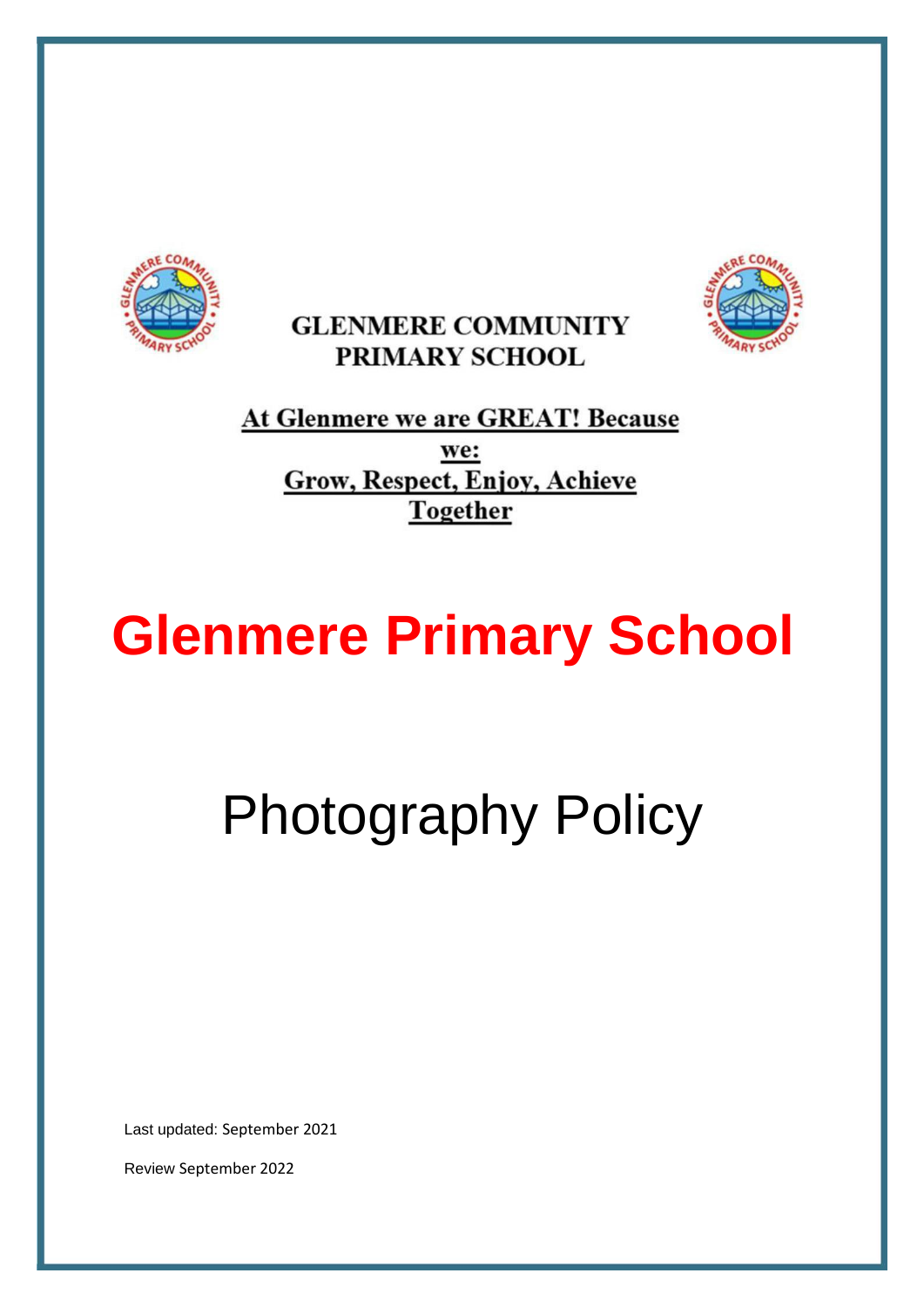





At Glenmere we are GREAT! Because we: **Grow, Respect, Enjoy, Achieve Together** 

# **Glenmere Primary School**

Photography Policy

Last updated: September 2021

Review September 2022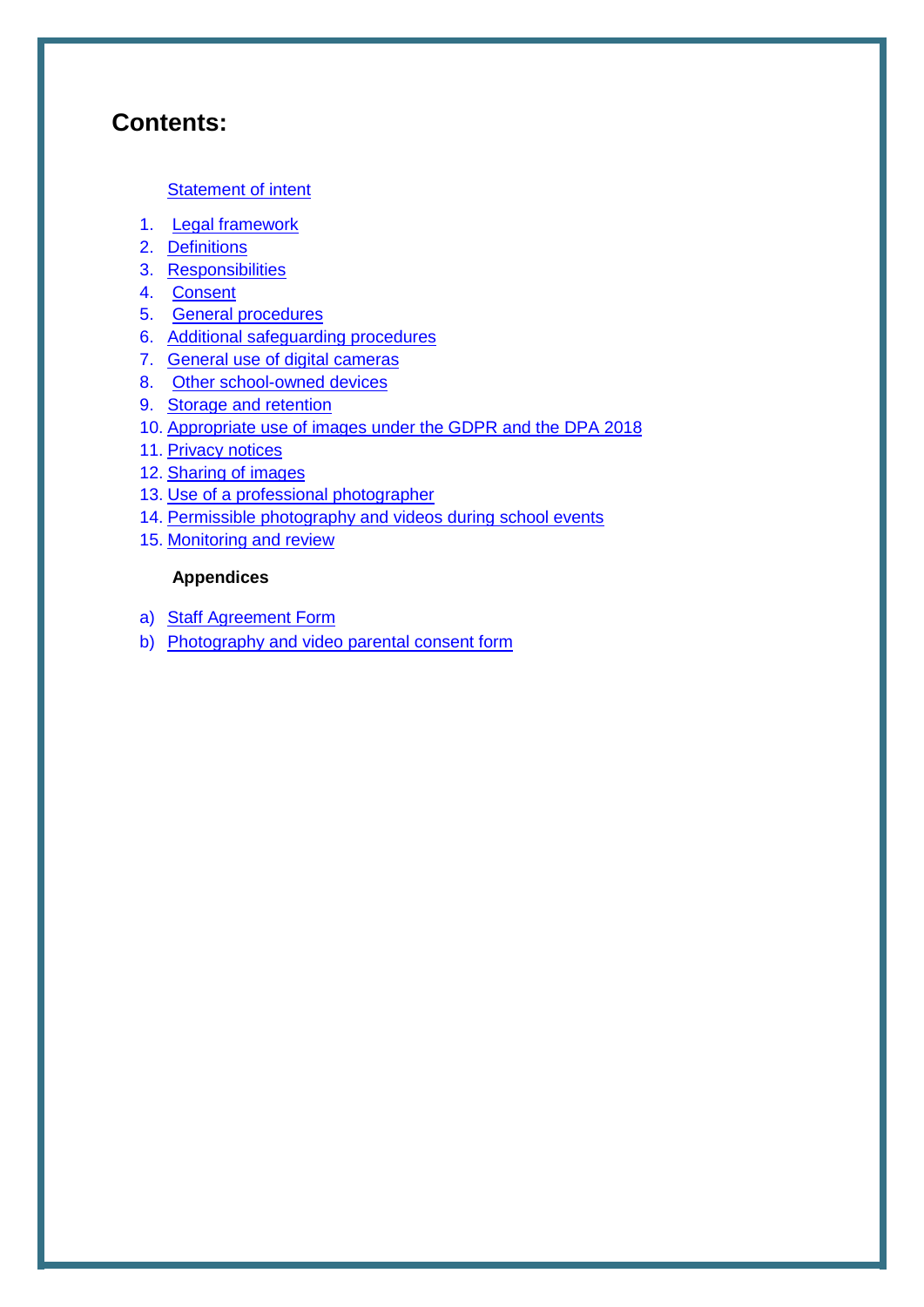## **Contents:**

#### [Statement of intent](#page-2-0)

- 1. [Legal framework](#page-3-0)
- 2. [Definitions](#page-3-0)
- 3. [Responsibilities](#page-3-0)
- 4. [Consent](#page-4-0)
- 5. [General procedures](#page-6-0)
- 6. [Additional safeguarding procedures](#page-7-0)
- 7. [General use of digital cameras](#page-8-0)
- 8. [Other school-owned devices](#page-9-0)
- 9. [Storage and retention](#page-9-0)
- 10. [Appropriate use of images under the GDPR a](#page-10-0)nd the DPA 2018
- 11. [Privacy notices](#page-11-0)
- 12. [Sharing of images](#page-12-0)
- 13. [Use of a professional photographer](#page-12-0)
- 14. [Permissible photography and videos during school events](#page-12-0)
- 15. [Monitoring and review](#page-13-0)

#### **Appendices**

- a) [Staff Agreement Form](#page-14-0)
- b) [Photography and video parental consent form](#page-15-0)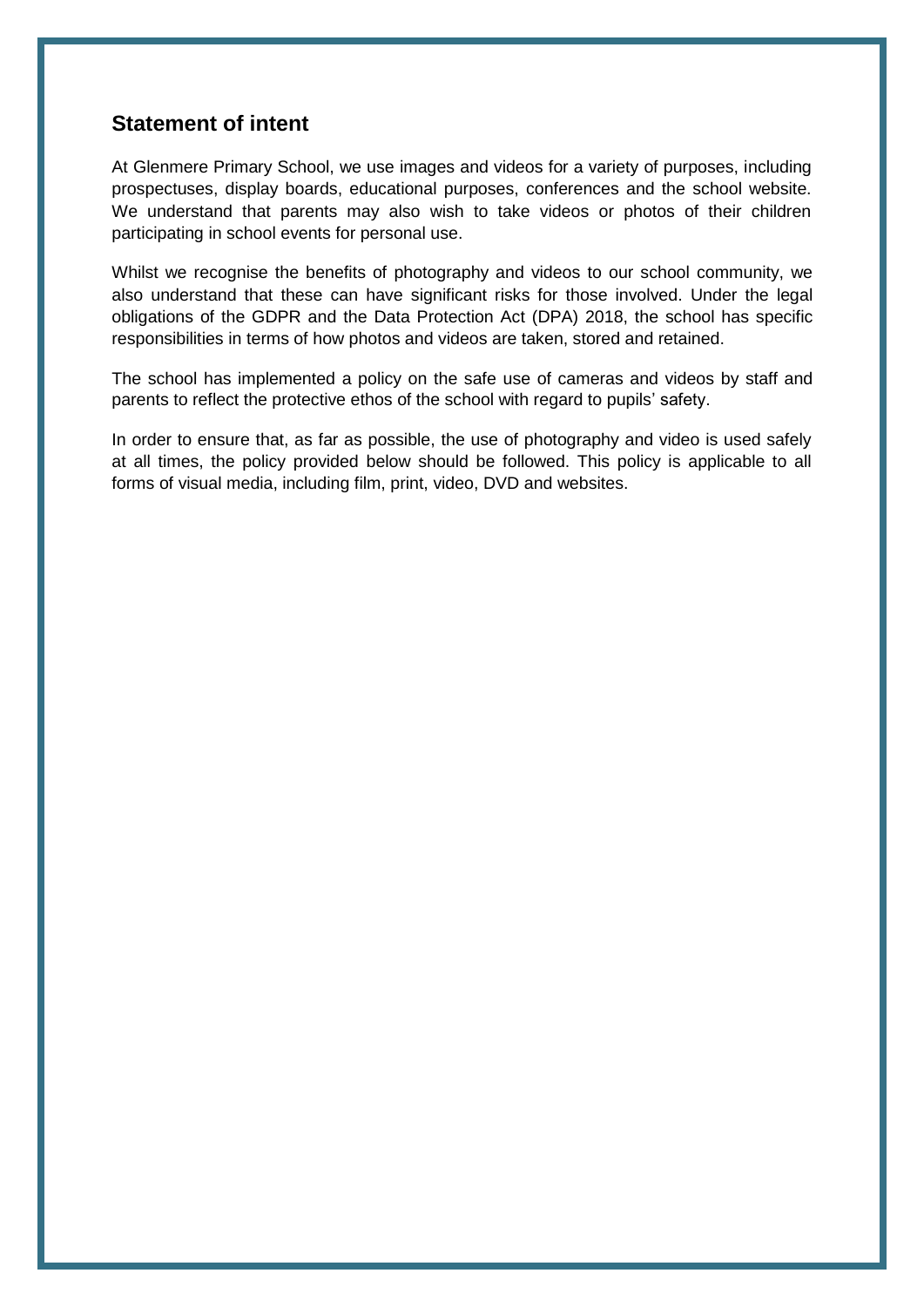#### <span id="page-2-0"></span>**Statement of intent**

At Glenmere Primary School, we use images and videos for a variety of purposes, including prospectuses, display boards, educational purposes, conferences and the school website. We understand that parents may also wish to take videos or photos of their children participating in school events for personal use.

Whilst we recognise the benefits of photography and videos to our school community, we also understand that these can have significant risks for those involved. Under the legal obligations of the GDPR and the Data Protection Act (DPA) 2018, the school has specific responsibilities in terms of how photos and videos are taken, stored and retained.

The school has implemented a policy on the safe use of cameras and videos by staff and parents to reflect the protective ethos of the school with regard to pupils' safety.

In order to ensure that, as far as possible, the use of photography and video is used safely at all times, the policy provided below should be followed. This policy is applicable to all forms of visual media, including film, print, video, DVD and websites.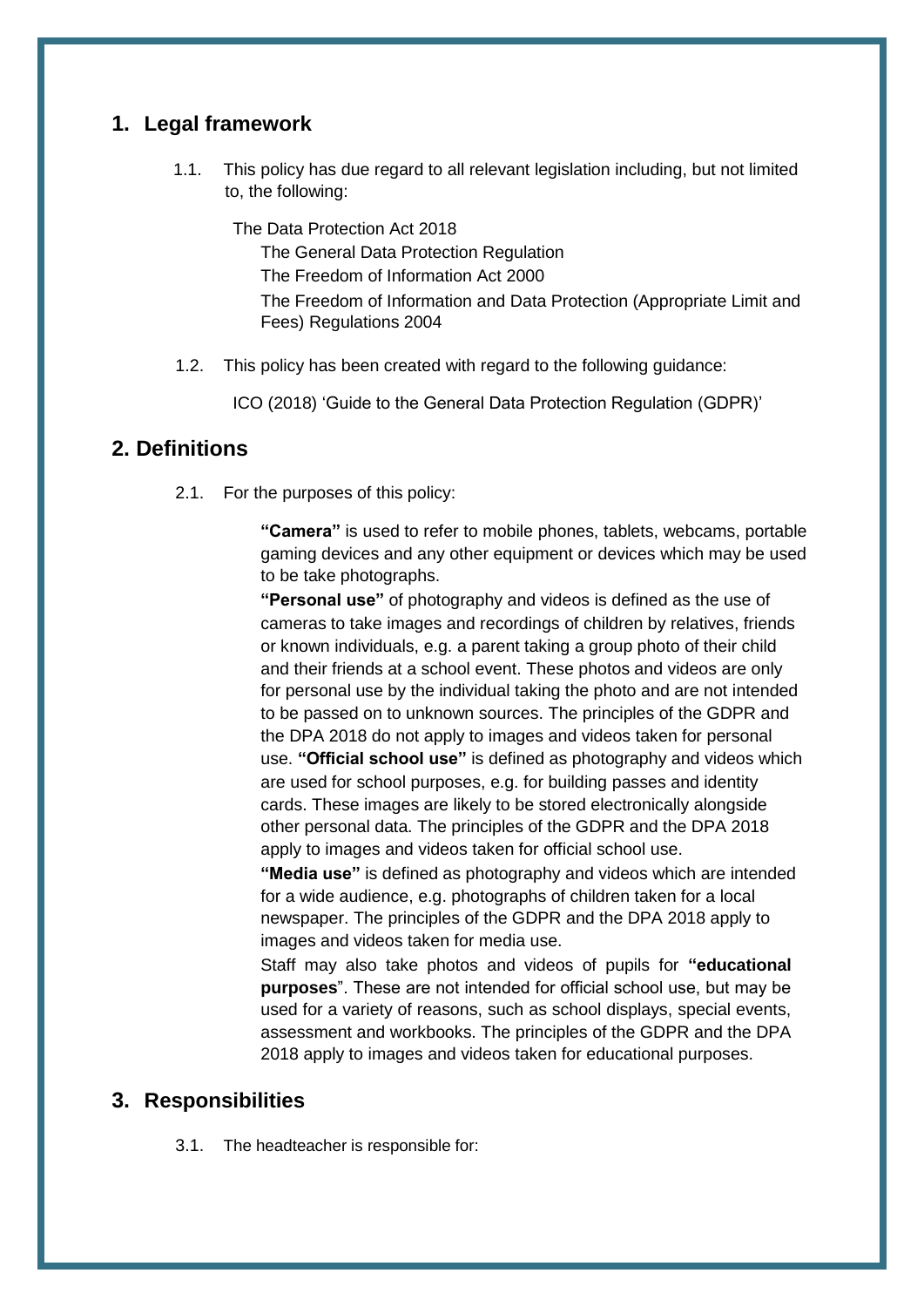## <span id="page-3-0"></span>**1. Legal framework**

1.1. This policy has due regard to all relevant legislation including, but not limited to, the following:

The Data Protection Act 2018 The General Data Protection Regulation The Freedom of Information Act 2000 The Freedom of Information and Data Protection (Appropriate Limit and Fees) Regulations 2004

1.2. This policy has been created with regard to the following guidance:

ICO (2018) 'Guide to the General Data Protection Regulation (GDPR)'

#### **2. Definitions**

2.1. For the purposes of this policy:

**"Camera"** is used to refer to mobile phones, tablets, webcams, portable gaming devices and any other equipment or devices which may be used to be take photographs.

**"Personal use"** of photography and videos is defined as the use of cameras to take images and recordings of children by relatives, friends or known individuals, e.g. a parent taking a group photo of their child and their friends at a school event. These photos and videos are only for personal use by the individual taking the photo and are not intended to be passed on to unknown sources. The principles of the GDPR and the DPA 2018 do not apply to images and videos taken for personal use. **"Official school use"** is defined as photography and videos which are used for school purposes, e.g. for building passes and identity cards. These images are likely to be stored electronically alongside other personal data. The principles of the GDPR and the DPA 2018 apply to images and videos taken for official school use.

**"Media use"** is defined as photography and videos which are intended for a wide audience, e.g. photographs of children taken for a local newspaper. The principles of the GDPR and the DPA 2018 apply to images and videos taken for media use.

Staff may also take photos and videos of pupils for **"educational purposes**". These are not intended for official school use, but may be used for a variety of reasons, such as school displays, special events, assessment and workbooks. The principles of the GDPR and the DPA 2018 apply to images and videos taken for educational purposes.

#### **3. Responsibilities**

3.1. The headteacher is responsible for: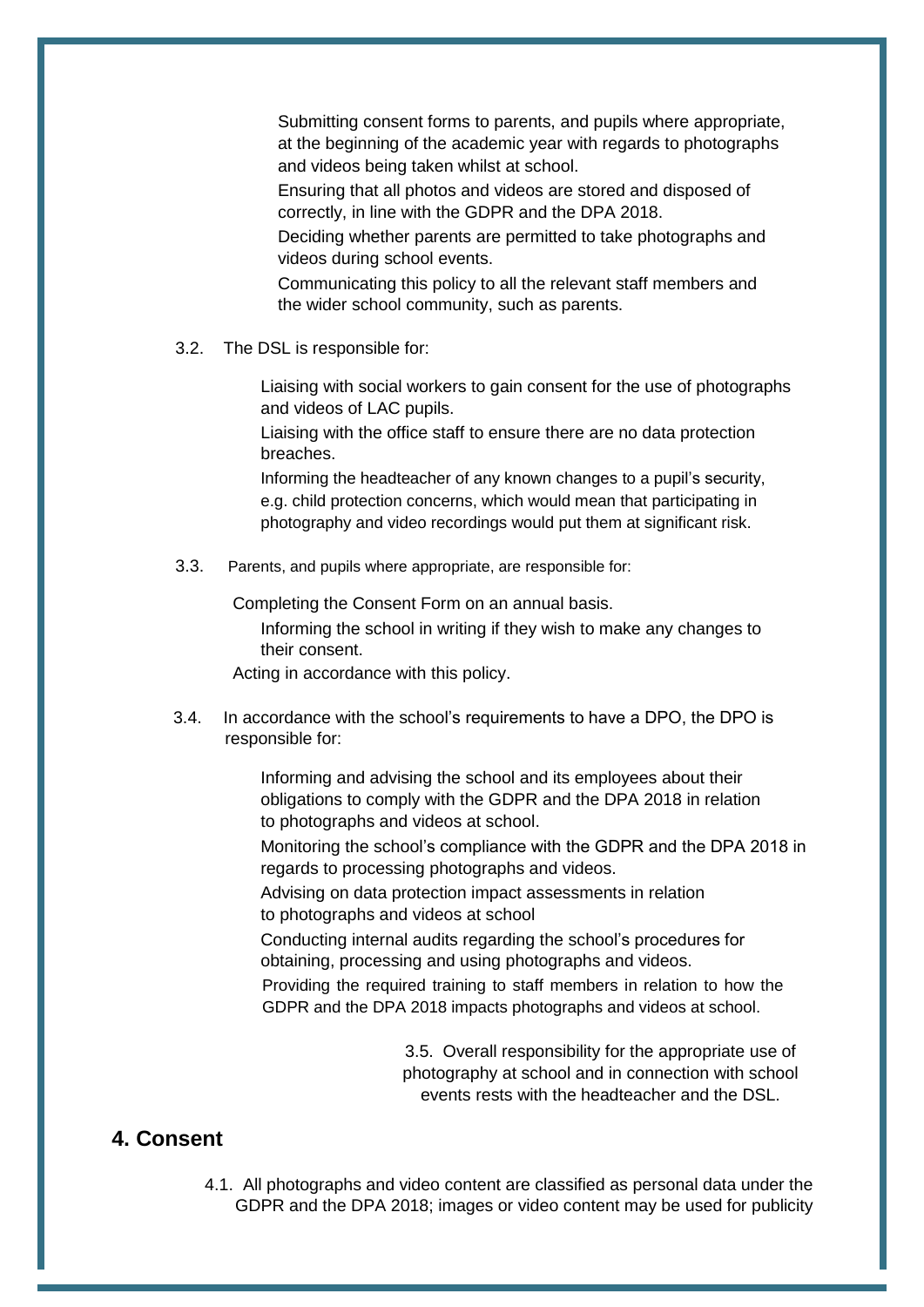<span id="page-4-0"></span>Submitting consent forms to parents, and pupils where appropriate, at the beginning of the academic year with regards to photographs and videos being taken whilst at school.

Ensuring that all photos and videos are stored and disposed of correctly, in line with the GDPR and the DPA 2018.

Deciding whether parents are permitted to take photographs and videos during school events.

Communicating this policy to all the relevant staff members and the wider school community, such as parents.

3.2. The DSL is responsible for:

Liaising with social workers to gain consent for the use of photographs and videos of LAC pupils.

Liaising with the office staff to ensure there are no data protection breaches.

Informing the headteacher of any known changes to a pupil's security, e.g. child protection concerns, which would mean that participating in photography and video recordings would put them at significant risk.

3.3. Parents, and pupils where appropriate, are responsible for:

Completing the [Consent Form o](#page-15-0)n an annual basis.

Informing the school in writing if they wish to make any changes to their consent.

Acting in accordance with this policy.

3.4. In accordance with the school's requirements to have a DPO, the DPO is responsible for:

> Informing and advising the school and its employees about their obligations to comply with the GDPR and the DPA 2018 in relation to photographs and videos at school.

Monitoring the school's compliance with the GDPR and the DPA 2018 in regards to processing photographs and videos.

Advising on data protection impact assessments in relation to photographs and videos at school

Conducting internal audits regarding the school's procedures for obtaining, processing and using photographs and videos.

Providing the required training to staff members in relation to how the GDPR and the DPA 2018 impacts photographs and videos at school.

> 3.5. Overall responsibility for the appropriate use of photography at school and in connection with school events rests with the headteacher and the DSL.

#### **4. Consent**

4.1. All photographs and video content are classified as personal data under the GDPR and the DPA 2018; images or video content may be used for publicity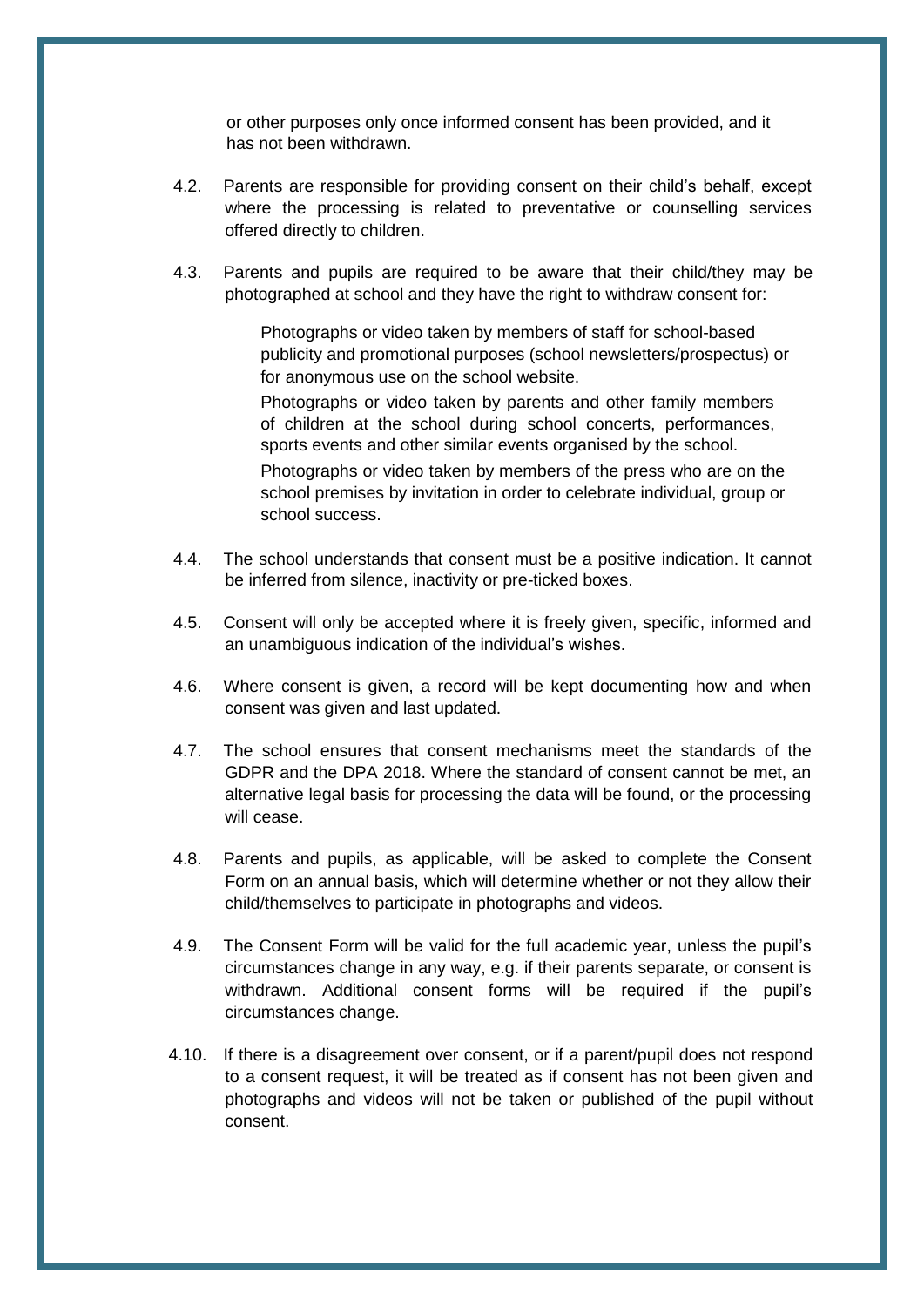or other purposes only once informed consent has been provided, and it has not been withdrawn.

- 4.2. Parents are responsible for providing consent on their child's behalf, except where the processing is related to preventative or counselling services offered directly to children.
- 4.3. Parents and pupils are required to be aware that their child/they may be photographed at school and they have the right to withdraw consent for:

Photographs or video taken by members of staff for school-based publicity and promotional purposes (school newsletters/prospectus) or for anonymous use on the school website.

Photographs or video taken by parents and other family members of children at the school during school concerts, performances, sports events and other similar events organised by the school.

Photographs or video taken by members of the press who are on the school premises by invitation in order to celebrate individual, group or school success.

- 4.4. The school understands that consent must be a positive indication. It cannot be inferred from silence, inactivity or pre-ticked boxes.
- 4.5. Consent will only be accepted where it is freely given, specific, informed and an unambiguous indication of the individual's wishes.
- 4.6. Where consent is given, a record will be kept documenting how and when consent was given and last updated.
- 4.7. The school ensures that consent mechanisms meet the standards of the GDPR and the DPA 2018. Where the standard of consent cannot be met, an alternative legal basis for processing the data will be found, or the processing will cease.
- 4.8. Parents and pupils, as applicable, will be asked to complete the Consent Form on an annual basis, which will determine whether or not they allow their child/themselves to participate in photographs and videos.
- 4.9. The Consent Form will be valid for the full academic year, unless the pupil's circumstances change in any way, e.g. if their parents separate, or consent is withdrawn. Additional consent forms will be required if the pupil's circumstances change.
- 4.10. If there is a disagreement over consent, or if a parent/pupil does not respond to a consent request, it will be treated as if consent has not been given and photographs and videos will not be taken or published of the pupil without consent.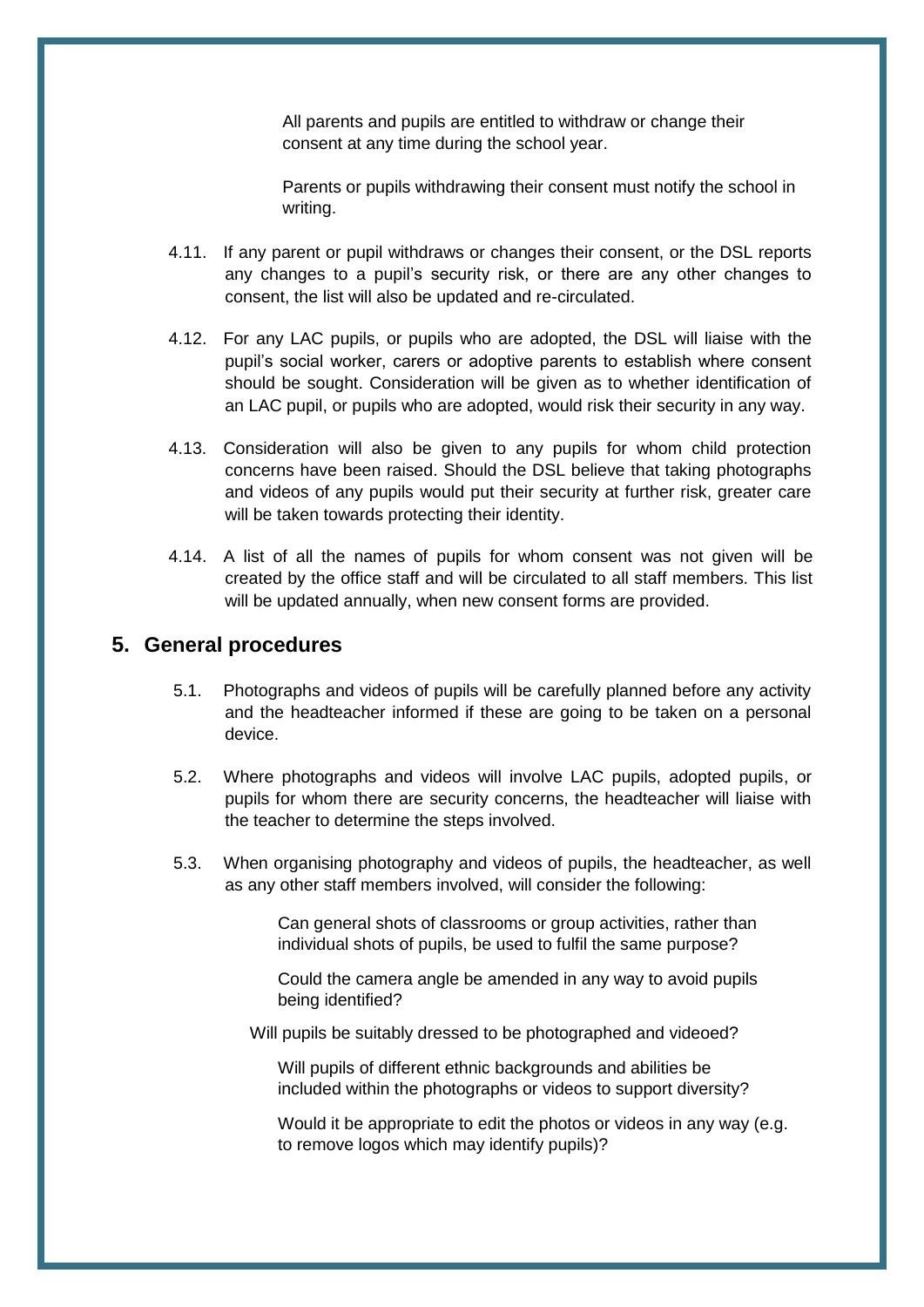All parents and pupils are entitled to withdraw or change their consent at any time during the school year.

Parents or pupils withdrawing their consent must notify the school in writing.

- <span id="page-6-0"></span>4.11. If any parent or pupil withdraws or changes their consent, or the DSL reports any changes to a pupil's security risk, or there are any other changes to consent, the list will also be updated and re-circulated.
- 4.12. For any LAC pupils, or pupils who are adopted, the DSL will liaise with the pupil's social worker, carers or adoptive parents to establish where consent should be sought. Consideration will be given as to whether identification of an LAC pupil, or pupils who are adopted, would risk their security in any way.
- 4.13. Consideration will also be given to any pupils for whom child protection concerns have been raised. Should the DSL believe that taking photographs and videos of any pupils would put their security at further risk, greater care will be taken towards protecting their identity.
- 4.14. A list of all the names of pupils for whom consent was not given will be created by the office staff and will be circulated to all staff members. This list will be updated annually, when new consent forms are provided.

#### **5. General procedures**

- 5.1. Photographs and videos of pupils will be carefully planned before any activity and the headteacher informed if these are going to be taken on a personal device.
- 5.2. Where photographs and videos will involve LAC pupils, adopted pupils, or pupils for whom there are security concerns, the headteacher will liaise with the teacher to determine the steps involved.
- 5.3. When organising photography and videos of pupils, the headteacher, as well as any other staff members involved, will consider the following:

Can general shots of classrooms or group activities, rather than individual shots of pupils, be used to fulfil the same purpose?

Could the camera angle be amended in any way to avoid pupils being identified?

Will pupils be suitably dressed to be photographed and videoed?

Will pupils of different ethnic backgrounds and abilities be included within the photographs or videos to support diversity?

Would it be appropriate to edit the photos or videos in any way (e.g. to remove logos which may identify pupils)?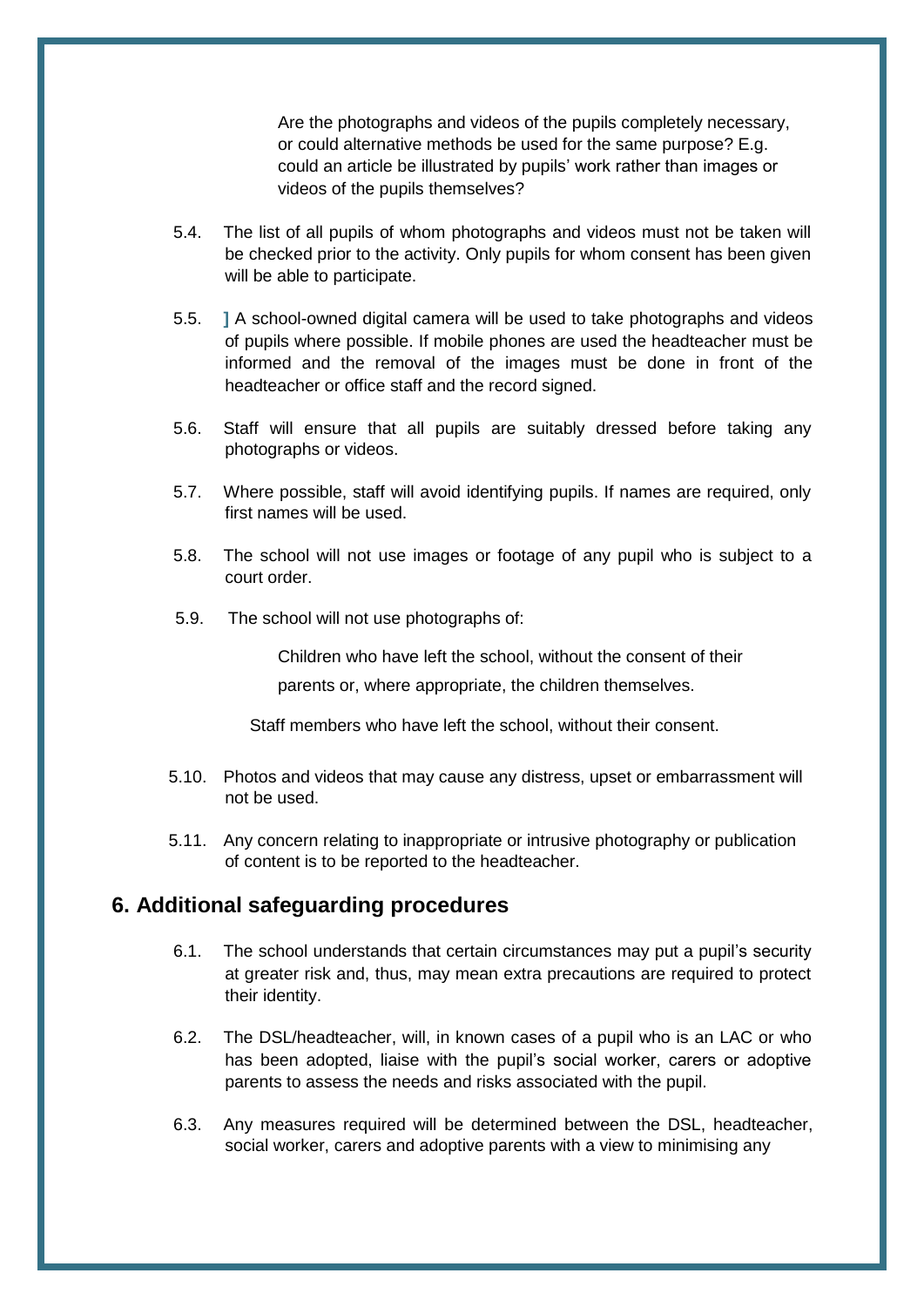Are the photographs and videos of the pupils completely necessary, or could alternative methods be used for the same purpose? E.g. could an article be illustrated by pupils' work rather than images or videos of the pupils themselves?

- <span id="page-7-0"></span>5.4. The list of all pupils of whom photographs and videos must not be taken will be checked prior to the activity. Only pupils for whom consent has been given will be able to participate.
- 5.5. **]** A school-owned digital camera will be used to take photographs and videos of pupils where possible. If mobile phones are used the headteacher must be informed and the removal of the images must be done in front of the headteacher or office staff and the record signed.
- 5.6. Staff will ensure that all pupils are suitably dressed before taking any photographs or videos.
- 5.7. Where possible, staff will avoid identifying pupils. If names are required, only first names will be used.
- 5.8. The school will not use images or footage of any pupil who is subject to a court order.
- 5.9. The school will not use photographs of:

Children who have left the school, without the consent of their parents or, where appropriate, the children themselves.

Staff members who have left the school, without their consent.

- 5.10. Photos and videos that may cause any distress, upset or embarrassment will not be used.
- 5.11. Any concern relating to inappropriate or intrusive photography or publication of content is to be reported to the headteacher.

#### **6. Additional safeguarding procedures**

- 6.1. The school understands that certain circumstances may put a pupil's security at greater risk and, thus, may mean extra precautions are required to protect their identity.
- 6.2. The DSL/headteacher, will, in known cases of a pupil who is an LAC or who has been adopted, liaise with the pupil's social worker, carers or adoptive parents to assess the needs and risks associated with the pupil.
- 6.3. Any measures required will be determined between the DSL, headteacher, social worker, carers and adoptive parents with a view to minimising any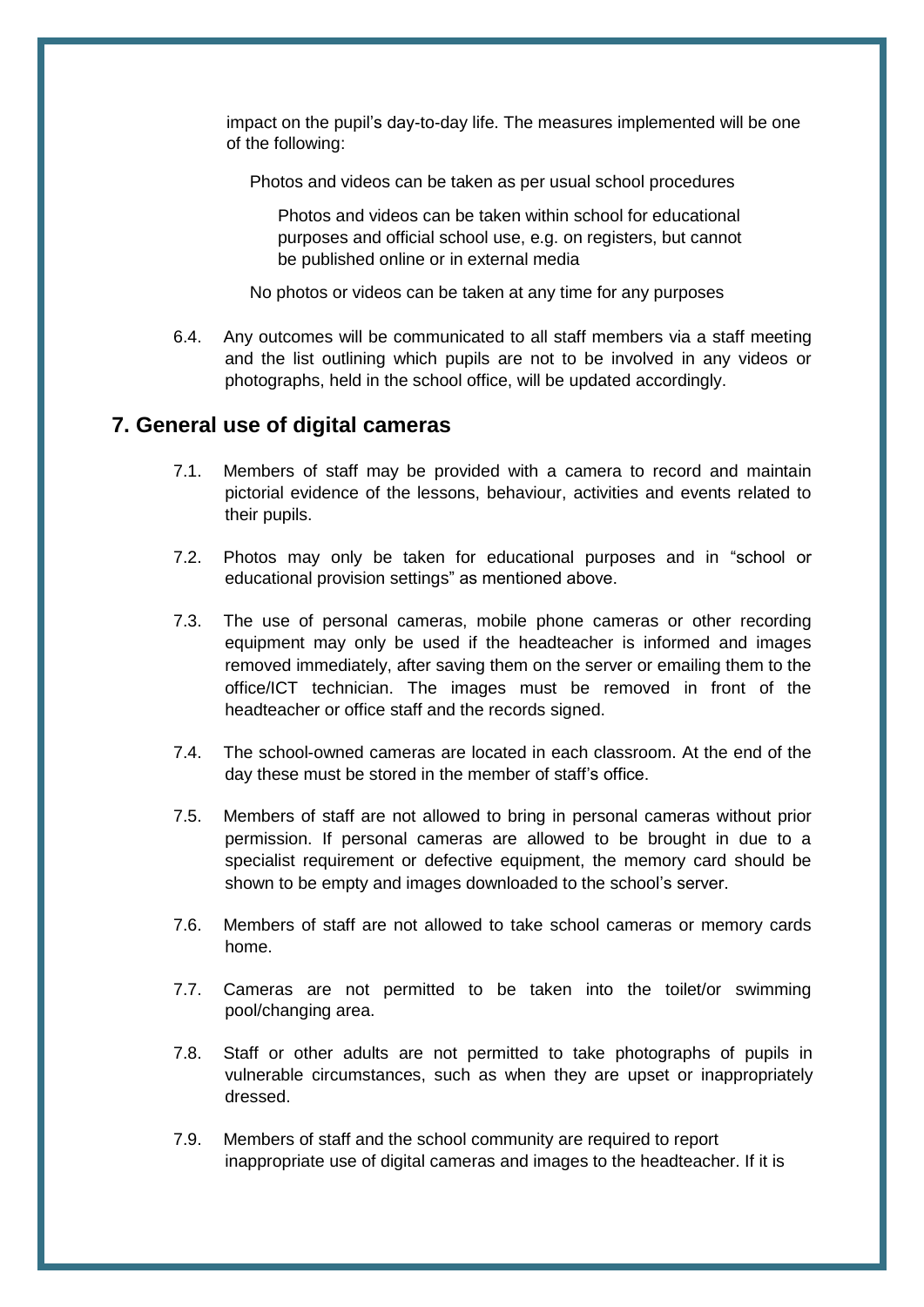<span id="page-8-0"></span>impact on the pupil's day-to-day life. The measures implemented will be one of the following:

Photos and videos can be taken as per usual school procedures

Photos and videos can be taken within school for educational purposes and official school use, e.g. on registers, but cannot be published online or in external media

No photos or videos can be taken at any time for any purposes

6.4. Any outcomes will be communicated to all staff members via a staff meeting and the list outlining which pupils are not to be involved in any videos or photographs, held in the school office, will be updated accordingly.

#### **7. General use of digital cameras**

- 7.1. Members of staff may be provided with a camera to record and maintain pictorial evidence of the lessons, behaviour, activities and events related to their pupils.
- 7.2. Photos may only be taken for educational purposes and in "school or educational provision settings" as mentioned above.
- 7.3. The use of personal cameras, mobile phone cameras or other recording equipment may only be used if the headteacher is informed and images removed immediately, after saving them on the server or emailing them to the office/ICT technician. The images must be removed in front of the headteacher or office staff and the records signed.
- 7.4. The school-owned cameras are located in each classroom. At the end of the day these must be stored in the member of staff's office.
- 7.5. Members of staff are not allowed to bring in personal cameras without prior permission. If personal cameras are allowed to be brought in due to a specialist requirement or defective equipment, the memory card should be shown to be empty and images downloaded to the school's server.
- 7.6. Members of staff are not allowed to take school cameras or memory cards home.
- 7.7. Cameras are not permitted to be taken into the toilet/or swimming pool/changing area.
- 7.8. Staff or other adults are not permitted to take photographs of pupils in vulnerable circumstances, such as when they are upset or inappropriately dressed.
- 7.9. Members of staff and the school community are required to report inappropriate use of digital cameras and images to the headteacher. If it is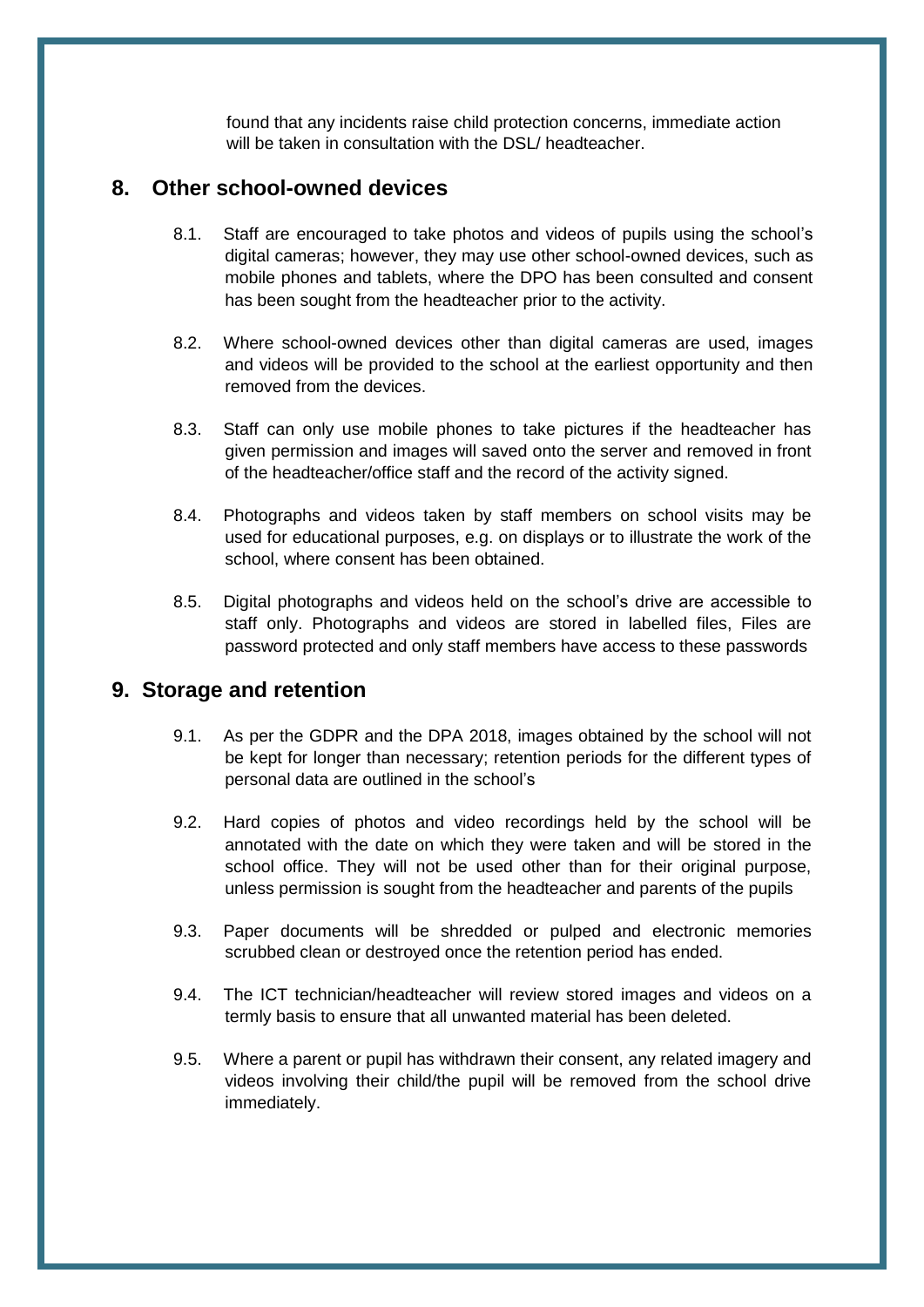found that any incidents raise child protection concerns, immediate action will be taken in consultation with the DSL/ headteacher.

## <span id="page-9-0"></span>**8. Other school-owned devices**

- 8.1. Staff are encouraged to take photos and videos of pupils using the school's digital cameras; however, they may use other school-owned devices, such as mobile phones and tablets, where the DPO has been consulted and consent has been sought from the headteacher prior to the activity.
- 8.2. Where school-owned devices other than digital cameras are used, images and videos will be provided to the school at the earliest opportunity and then removed from the devices.
- 8.3. Staff can only use mobile phones to take pictures if the headteacher has given permission and images will saved onto the server and removed in front of the headteacher/office staff and the record of the activity signed.
- 8.4. Photographs and videos taken by staff members on school visits may be used for educational purposes, e.g. on displays or to illustrate the work of the school, where consent has been obtained.
- 8.5. Digital photographs and videos held on the school's drive are accessible to staff only. Photographs and videos are stored in labelled files, Files are password protected and only staff members have access to these passwords

## **9. Storage and retention**

- 9.1. As per the GDPR and the DPA 2018, images obtained by the school will not be kept for longer than necessary; retention periods for the different types of personal data are outlined in the school's
- 9.2. Hard copies of photos and video recordings held by the school will be annotated with the date on which they were taken and will be stored in the school office. They will not be used other than for their original purpose, unless permission is sought from the headteacher and parents of the pupils
- 9.3. Paper documents will be shredded or pulped and electronic memories scrubbed clean or destroyed once the retention period has ended.
- 9.4. The ICT technician/headteacher will review stored images and videos on a termly basis to ensure that all unwanted material has been deleted.
- 9.5. Where a parent or pupil has withdrawn their consent, any related imagery and videos involving their child/the pupil will be removed from the school drive immediately.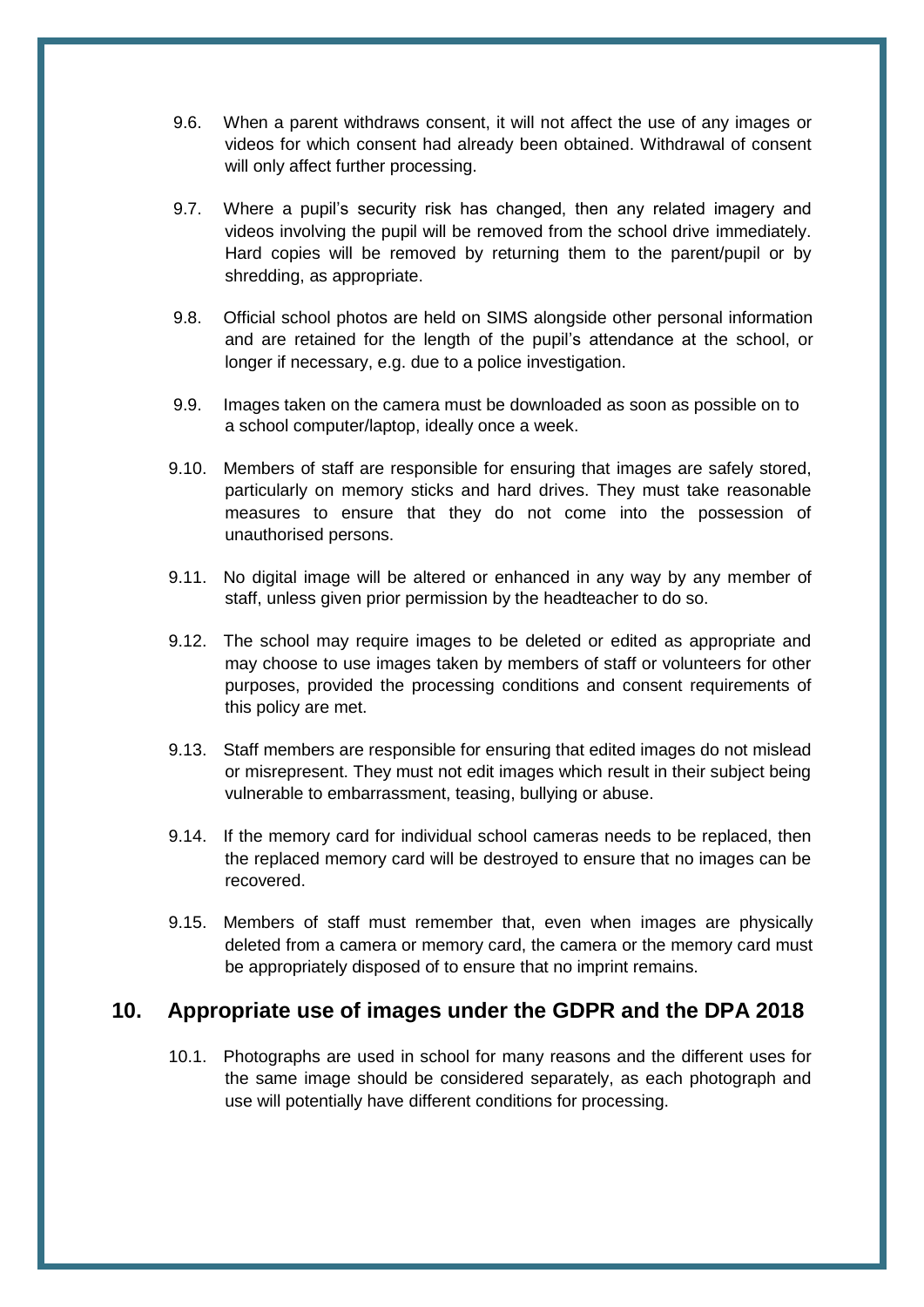- <span id="page-10-0"></span>9.6. When a parent withdraws consent, it will not affect the use of any images or videos for which consent had already been obtained. Withdrawal of consent will only affect further processing.
- 9.7. Where a pupil's security risk has changed, then any related imagery and videos involving the pupil will be removed from the school drive immediately. Hard copies will be removed by returning them to the parent/pupil or by shredding, as appropriate.
- 9.8. Official school photos are held on SIMS alongside other personal information and are retained for the length of the pupil's attendance at the school, or longer if necessary, e.g. due to a police investigation.
- 9.9. Images taken on the camera must be downloaded as soon as possible on to a school computer/laptop, ideally once a week.
- 9.10. Members of staff are responsible for ensuring that images are safely stored, particularly on memory sticks and hard drives. They must take reasonable measures to ensure that they do not come into the possession of unauthorised persons.
- 9.11. No digital image will be altered or enhanced in any way by any member of staff, unless given prior permission by the headteacher to do so.
- 9.12. The school may require images to be deleted or edited as appropriate and may choose to use images taken by members of staff or volunteers for other purposes, provided the processing conditions and consent requirements of this policy are met.
- 9.13. Staff members are responsible for ensuring that edited images do not mislead or misrepresent. They must not edit images which result in their subject being vulnerable to embarrassment, teasing, bullying or abuse.
- 9.14. If the memory card for individual school cameras needs to be replaced, then the replaced memory card will be destroyed to ensure that no images can be recovered.
- 9.15. Members of staff must remember that, even when images are physically deleted from a camera or memory card, the camera or the memory card must be appropriately disposed of to ensure that no imprint remains.

#### **10. Appropriate use of images under the GDPR and the DPA 2018**

10.1. Photographs are used in school for many reasons and the different uses for the same image should be considered separately, as each photograph and use will potentially have different conditions for processing.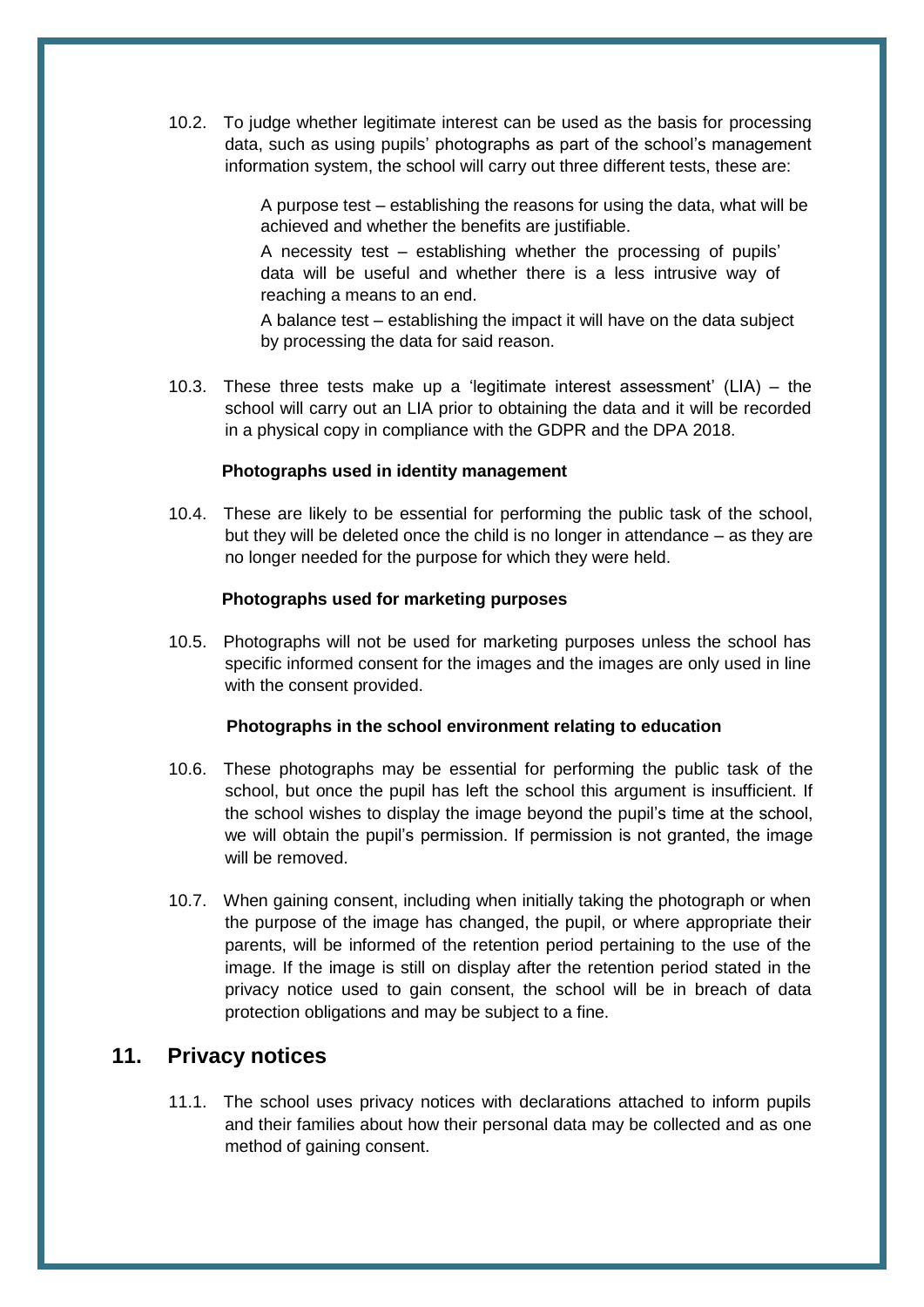<span id="page-11-0"></span>10.2. To judge whether legitimate interest can be used as the basis for processing data, such as using pupils' photographs as part of the school's management information system, the school will carry out three different tests, these are:

> A purpose test – establishing the reasons for using the data, what will be achieved and whether the benefits are justifiable.

A necessity test – establishing whether the processing of pupils' data will be useful and whether there is a less intrusive way of reaching a means to an end.

A balance test – establishing the impact it will have on the data subject by processing the data for said reason.

10.3. These three tests make up a 'legitimate interest assessment' (LIA) – the school will carry out an LIA prior to obtaining the data and it will be recorded in a physical copy in compliance with the GDPR and the DPA 2018.

#### **Photographs used in identity management**

10.4. These are likely to be essential for performing the public task of the school, but they will be deleted once the child is no longer in attendance – as they are no longer needed for the purpose for which they were held.

#### **Photographs used for marketing purposes**

10.5. Photographs will not be used for marketing purposes unless the school has specific informed consent for the images and the images are only used in line with the consent provided.

#### **Photographs in the school environment relating to education**

- 10.6. These photographs may be essential for performing the public task of the school, but once the pupil has left the school this argument is insufficient. If the school wishes to display the image beyond the pupil's time at the school, we will obtain the pupil's permission. If permission is not granted, the image will be removed.
- 10.7. When gaining consent, including when initially taking the photograph or when the purpose of the image has changed, the pupil, or where appropriate their parents, will be informed of the retention period pertaining to the use of the image. If the image is still on display after the retention period stated in the privacy notice used to gain consent, the school will be in breach of data protection obligations and may be subject to a fine.

#### **11. Privacy notices**

11.1. The school uses privacy notices with declarations attached to inform pupils and their families about how their personal data may be collected and as one method of gaining consent.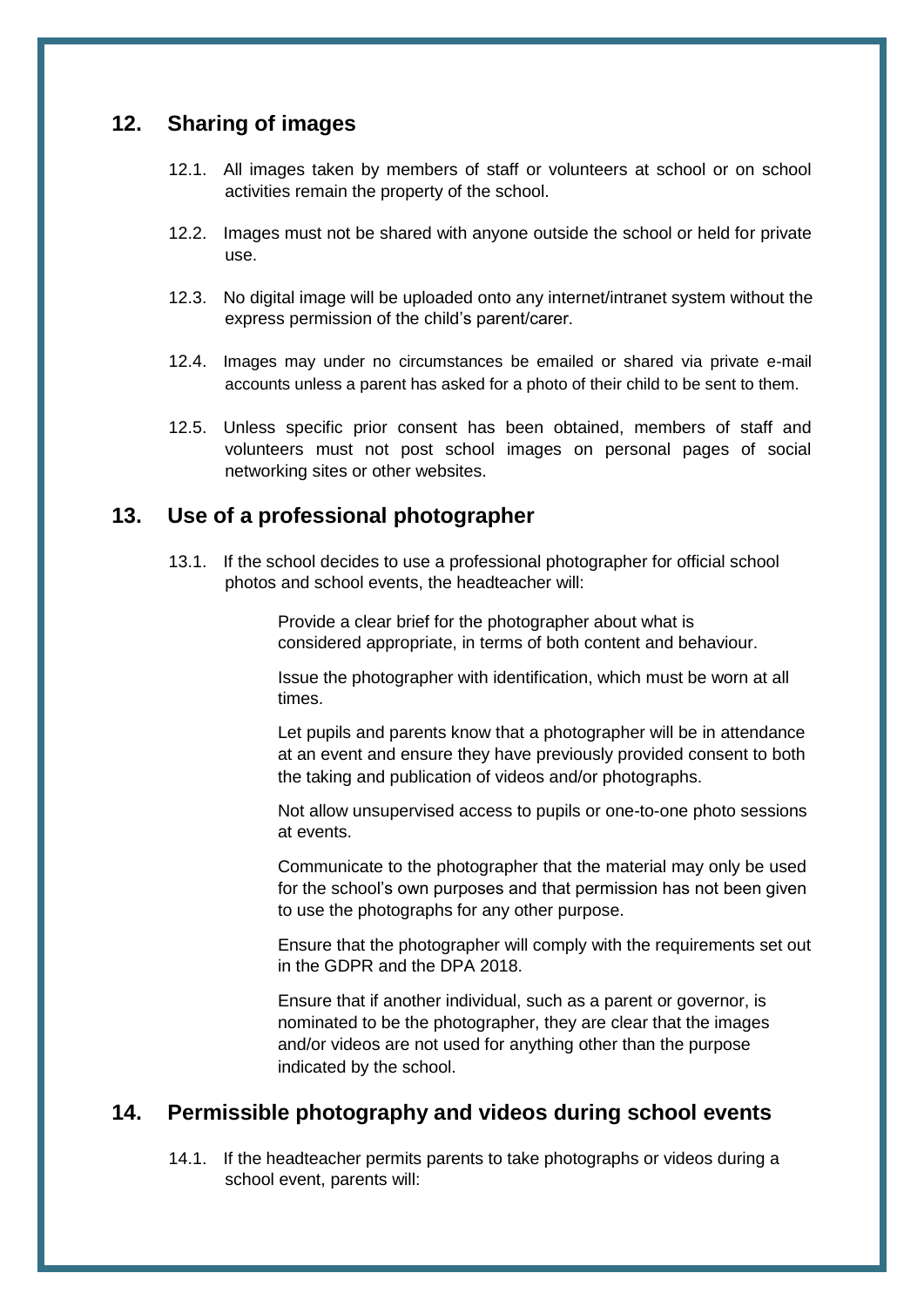## <span id="page-12-0"></span>**12. Sharing of images**

- 12.1. All images taken by members of staff or volunteers at school or on school activities remain the property of the school.
- 12.2. Images must not be shared with anyone outside the school or held for private use.
- 12.3. No digital image will be uploaded onto any internet/intranet system without the express permission of the child's parent/carer.
- 12.4. Images may under no circumstances be emailed or shared via private e-mail accounts unless a parent has asked for a photo of their child to be sent to them.
- 12.5. Unless specific prior consent has been obtained, members of staff and volunteers must not post school images on personal pages of social networking sites or other websites.

## **13. Use of a professional photographer**

13.1. If the school decides to use a professional photographer for official school photos and school events, the headteacher will:

> Provide a clear brief for the photographer about what is considered appropriate, in terms of both content and behaviour.

Issue the photographer with identification, which must be worn at all times.

Let pupils and parents know that a photographer will be in attendance at an event and ensure they have previously provided consent to both the taking and publication of videos and/or photographs.

Not allow unsupervised access to pupils or one-to-one photo sessions at events.

Communicate to the photographer that the material may only be used for the school's own purposes and that permission has not been given to use the photographs for any other purpose.

Ensure that the photographer will comply with the requirements set out in the GDPR and the DPA 2018.

Ensure that if another individual, such as a parent or governor, is nominated to be the photographer, they are clear that the images and/or videos are not used for anything other than the purpose indicated by the school.

## **14. Permissible photography and videos during school events**

14.1. If the headteacher permits parents to take photographs or videos during a school event, parents will: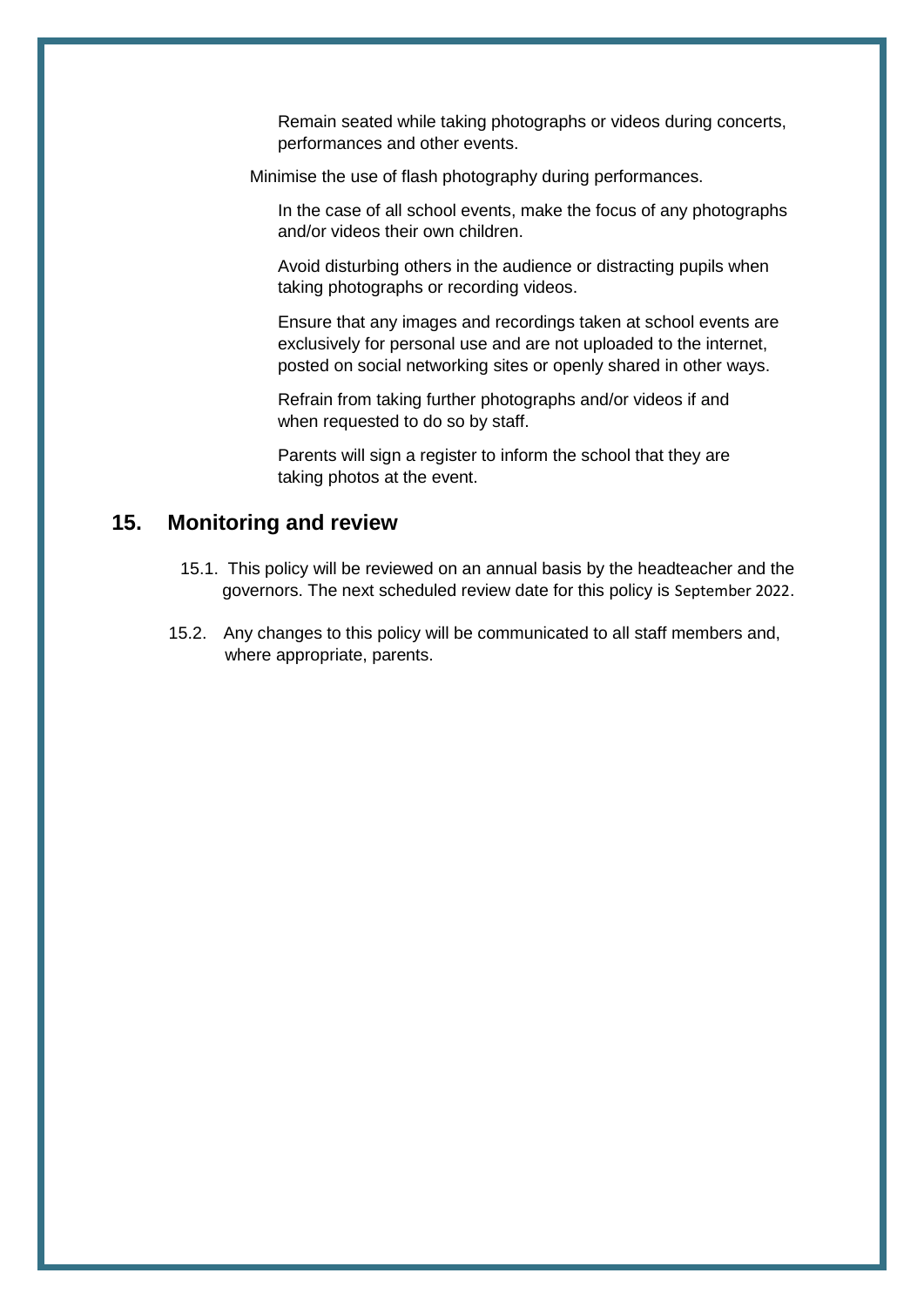Remain seated while taking photographs or videos during concerts, performances and other events.

<span id="page-13-0"></span>Minimise the use of flash photography during performances.

In the case of all school events, make the focus of any photographs and/or videos their own children.

Avoid disturbing others in the audience or distracting pupils when taking photographs or recording videos.

Ensure that any images and recordings taken at school events are exclusively for personal use and are not uploaded to the internet, posted on social networking sites or openly shared in other ways.

Refrain from taking further photographs and/or videos if and when requested to do so by staff.

Parents will sign a register to inform the school that they are taking photos at the event.

#### **15. Monitoring and review**

- 15.1. This policy will be reviewed on an annual basis by the headteacher and the governors. The next scheduled review date for this policy is September 2022.
- 15.2. Any changes to this policy will be communicated to all staff members and, where appropriate, parents.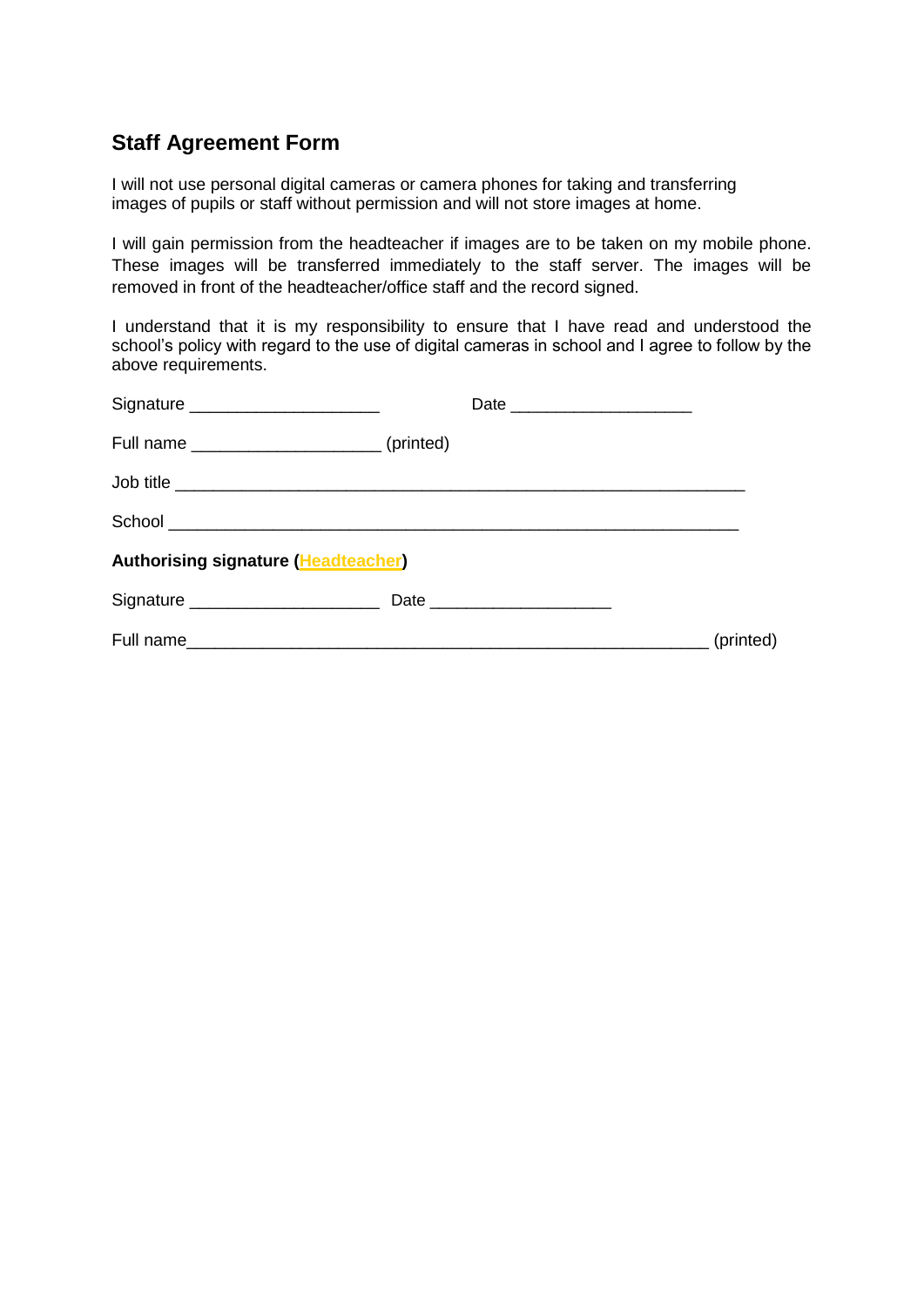## <span id="page-14-0"></span>**Staff Agreement Form**

I will not use personal digital cameras or camera phones for taking and transferring images of pupils or staff without permission and will not store images at home.

I will gain permission from the headteacher if images are to be taken on my mobile phone. These images will be transferred immediately to the staff server. The images will be removed in front of the headteacher/office staff and the record signed.

I understand that it is my responsibility to ensure that I have read and understood the school's policy with regard to the use of digital cameras in school and I agree to follow by the above requirements.

| Signature _______________________                |           |           |
|--------------------------------------------------|-----------|-----------|
| Full name _____________________________(printed) |           |           |
|                                                  | Job title |           |
|                                                  |           |           |
| <b>Authorising signature (Headteacher)</b>       |           |           |
|                                                  |           |           |
|                                                  |           | (printed) |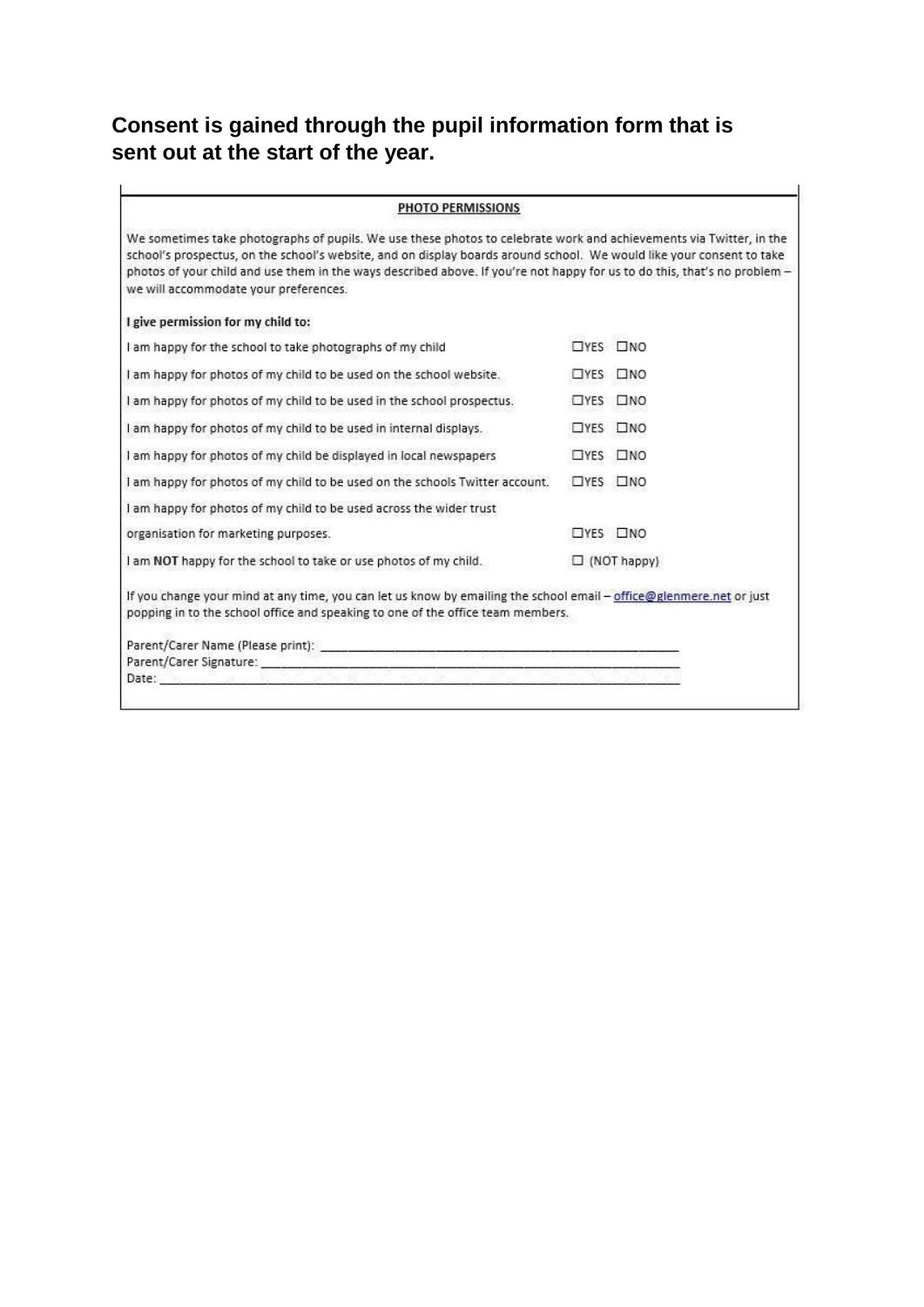# <span id="page-15-0"></span>**Consent is gained through the pupil information form that is sent out at the start of the year.**

| <b>PHOTO PERMISSIONS</b>                                                                                                                                                                                                                                                                                                                                                                                           |               |                  |
|--------------------------------------------------------------------------------------------------------------------------------------------------------------------------------------------------------------------------------------------------------------------------------------------------------------------------------------------------------------------------------------------------------------------|---------------|------------------|
| We sometimes take photographs of pupils. We use these photos to celebrate work and achievements via Twitter, in the<br>school's prospectus, on the school's website, and on display boards around school. We would like your consent to take<br>photos of your child and use them in the ways described above. If you're not happy for us to do this, that's no problem -<br>we will accommodate your preferences. |               |                  |
| I give permission for my child to:                                                                                                                                                                                                                                                                                                                                                                                 |               |                  |
| I am happy for the school to take photographs of my child                                                                                                                                                                                                                                                                                                                                                          |               | <b>TYES TINO</b> |
| I am happy for photos of my child to be used on the school website.                                                                                                                                                                                                                                                                                                                                                |               | OYES ONO         |
| I am happy for photos of my child to be used in the school prospectus.                                                                                                                                                                                                                                                                                                                                             | $\square$ YES | $\square$ NO     |
| I am happy for photos of my child to be used in internal displays.                                                                                                                                                                                                                                                                                                                                                 | $\Box$ YES    | $\square$ NO     |
| I am happy for photos of my child be displayed in local newspapers                                                                                                                                                                                                                                                                                                                                                 | $\square$ YES | $\square$ NO     |
| I am happy for photos of my child to be used on the schools Twitter account.                                                                                                                                                                                                                                                                                                                                       | $\square$ YES | $\square$ NO     |
| I am happy for photos of my child to be used across the wider trust                                                                                                                                                                                                                                                                                                                                                |               |                  |
| organisation for marketing purposes.                                                                                                                                                                                                                                                                                                                                                                               |               | $DYES$ $DNO$     |
| I am NOT happy for the school to take or use photos of my child.<br>$\Box$ (NOT happy)                                                                                                                                                                                                                                                                                                                             |               |                  |
| If you change your mind at any time, you can let us know by emailing the school email - office@glenmere.net or just<br>popping in to the school office and speaking to one of the office team members.                                                                                                                                                                                                             |               |                  |
|                                                                                                                                                                                                                                                                                                                                                                                                                    |               |                  |
| Parent/Carer Signature: New York 1999 States of the Care of the Care of the Care of the Care of the Care of the                                                                                                                                                                                                                                                                                                    |               |                  |
| Date:<br>$N^{\prime\prime}$ , $N^{\prime\prime}$ , $N^{\prime\prime}$ , $N^{\prime\prime}$ , $N^{\prime\prime}$ , $N^{\prime\prime}$ , $N^{\prime\prime}$ , $N^{\prime\prime}$ , $N^{\prime\prime}$ , $N^{\prime\prime}$ , $N^{\prime\prime}$ , $N^{\prime\prime}$ , $N^{\prime\prime}$ , $N^{\prime\prime}$ , $N^{\prime\prime}$ , $N^{\prime\prime}$ , $N^{\prime\prime}$ , $N^{\prime\prime}$ , $N^{\prime$     |               |                  |